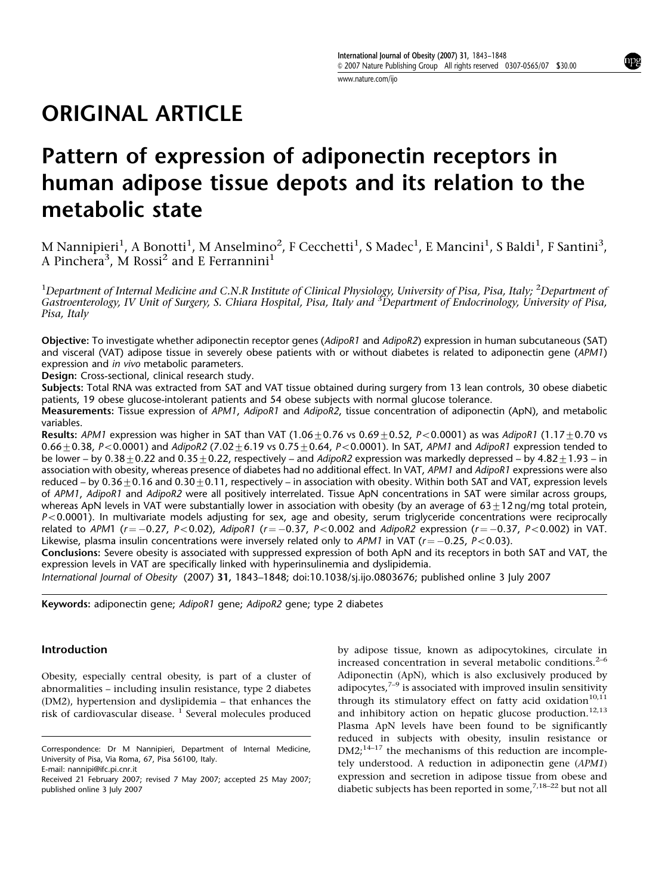www.nature.com/ijo

# ORIGINAL ARTICLE

# Pattern of expression of adiponectin receptors in human adipose tissue depots and its relation to the metabolic state

M Nannipieri<sup>1</sup>, A Bonotti<sup>1</sup>, M Anselmino<sup>2</sup>, F Cecchetti<sup>1</sup>, S Madec<sup>1</sup>, E Mancini<sup>1</sup>, S Baldi<sup>1</sup>, F Santini<sup>3</sup>, A Pinchera<sup>3</sup>, M Rossi<sup>2</sup> and E Ferrannini<sup>1</sup>

 $^1$ Department of Internal Medicine and C.N.R Institute of Clinical Physiology, University of Pisa, Pisa, Italy;  $^2$ Department of Gastroenterology, IV Unit of Surgery, S. Chiara Hospital, Pisa, Italy and <sup>3</sup>Department of Endocrinology, University of Pisa, Pisa, Italy

Objective: To investigate whether adiponectin receptor genes (AdipoR1 and AdipoR2) expression in human subcutaneous (SAT) and visceral (VAT) adipose tissue in severely obese patients with or without diabetes is related to adiponectin gene (APM1) expression and in vivo metabolic parameters.

Design: Cross-sectional, clinical research study.

Subjects: Total RNA was extracted from SAT and VAT tissue obtained during surgery from 13 lean controls, 30 obese diabetic patients, 19 obese glucose-intolerant patients and 54 obese subjects with normal glucose tolerance.

Measurements: Tissue expression of APM1, AdipoR1 and AdipoR2, tissue concentration of adiponectin (ApN), and metabolic variables.

**Results:** APM1 expression was higher in SAT than VAT (1.06+0.76 vs 0.69+0.52, P<0.0001) as was AdipoR1 (1.17+0.70 vs  $0.66 + 0.38$ ,  $P < 0.0001$ ) and AdipoR2 (7.02+6.19 vs 0.75+0.64, P<0.0001). In SAT, APM1 and AdipoR1 expression tended to be lower – by  $0.38+0.22$  and  $0.35+0.22$ , respectively – and AdipoR2 expression was markedly depressed – by  $4.82+1.93$  – in association with obesity, whereas presence of diabetes had no additional effect. In VAT, APM1 and AdipoR1 expressions were also reduced – by  $0.36\pm0.16$  and  $0.30\pm0.11$ , respectively – in association with obesity. Within both SAT and VAT, expression levels of APM1, AdipoR1 and AdipoR2 were all positively interrelated. Tissue ApN concentrations in SAT were similar across groups, whereas ApN levels in VAT were substantially lower in association with obesity (by an average of  $63\pm12$  ng/mg total protein,  $P<0.0001$ ). In multivariate models adjusting for sex, age and obesity, serum triglyceride concentrations were reciprocally related to APM1 (r $=-0.27$ , P $<$ 0.02), AdipoR1 (r $=-0.37$ , P $<$ 0.002 and AdipoR2 expression (r $=-0.37$ , P $<$ 0.002) in VAT. Likewise, plasma insulin concentrations were inversely related only to APM1 in VAT ( $r{=}{-}0.25$ , P ${<}0.03$ ).

Conclusions: Severe obesity is associated with suppressed expression of both ApN and its receptors in both SAT and VAT, the expression levels in VAT are specifically linked with hyperinsulinemia and dyslipidemia.

International Journal of Obesity (2007) 31, 1843–1848; doi:10.1038/sj.ijo.0803676; published online 3 July 2007

Keywords: adiponectin gene; AdipoR1 gene; AdipoR2 gene; type 2 diabetes

## Introduction

Obesity, especially central obesity, is part of a cluster of abnormalities – including insulin resistance, type 2 diabetes (DM2), hypertension and dyslipidemia – that enhances the risk of cardiovascular disease.  $1$  Several molecules produced by adipose tissue, known as adipocytokines, circulate in increased concentration in several metabolic conditions. $2-6$ Adiponectin (ApN), which is also exclusively produced by adipocytes, $7-9$  is associated with improved insulin sensitivity through its stimulatory effect on fatty acid oxidation<sup>10,11</sup> and inhibitory action on hepatic glucose production.<sup>12,13</sup> Plasma ApN levels have been found to be significantly reduced in subjects with obesity, insulin resistance or DM2<sup>,14–17</sup> the mechanisms of this reduction are incompletely understood. A reduction in adiponectin gene (APM1) expression and secretion in adipose tissue from obese and diabetic subjects has been reported in some.<sup>7,18–22</sup> but not all

Correspondence: Dr M Nannipieri, Department of Internal Medicine, University of Pisa, Via Roma, 67, Pisa 56100, Italy. E-mail: nannipi@ifc.pi.cnr.it

Received 21 February 2007; revised 7 May 2007; accepted 25 May 2007; published online 3 July 2007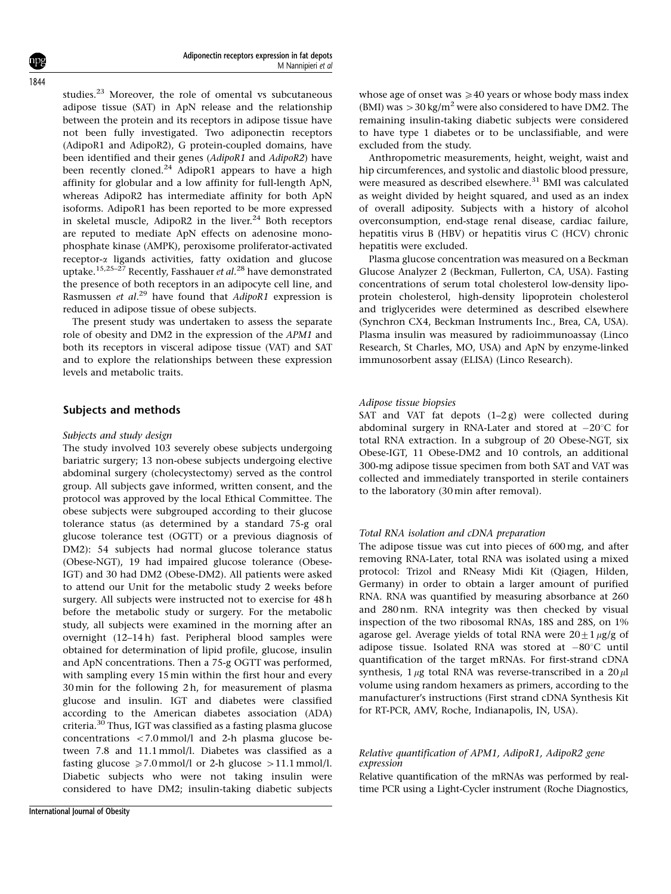studies.<sup>23</sup> Moreover, the role of omental vs subcutaneous adipose tissue (SAT) in ApN release and the relationship between the protein and its receptors in adipose tissue have not been fully investigated. Two adiponectin receptors (AdipoR1 and AdipoR2), G protein-coupled domains, have been identified and their genes (AdipoR1 and AdipoR2) have been recently cloned.<sup>24</sup> AdipoR1 appears to have a high affinity for globular and a low affinity for full-length ApN, whereas AdipoR2 has intermediate affinity for both ApN isoforms. AdipoR1 has been reported to be more expressed in skeletal muscle, AdipoR2 in the liver.<sup>24</sup> Both receptors are reputed to mediate ApN effects on adenosine monophosphate kinase (AMPK), peroxisome proliferator-activated receptor-a ligands activities, fatty oxidation and glucose uptake.<sup>15,25–27</sup> Recently, Fasshauer et al.<sup>28</sup> have demonstrated the presence of both receptors in an adipocyte cell line, and Rasmussen et al.<sup>29</sup> have found that AdipoR1 expression is reduced in adipose tissue of obese subjects.

The present study was undertaken to assess the separate role of obesity and DM2 in the expression of the APM1 and both its receptors in visceral adipose tissue (VAT) and SAT and to explore the relationships between these expression levels and metabolic traits.

### Subjects and methods

#### Subjects and study design

The study involved 103 severely obese subjects undergoing bariatric surgery; 13 non-obese subjects undergoing elective abdominal surgery (cholecystectomy) served as the control group. All subjects gave informed, written consent, and the protocol was approved by the local Ethical Committee. The obese subjects were subgrouped according to their glucose tolerance status (as determined by a standard 75-g oral glucose tolerance test (OGTT) or a previous diagnosis of DM2): 54 subjects had normal glucose tolerance status (Obese-NGT), 19 had impaired glucose tolerance (Obese-IGT) and 30 had DM2 (Obese-DM2). All patients were asked to attend our Unit for the metabolic study 2 weeks before surgery. All subjects were instructed not to exercise for 48 h before the metabolic study or surgery. For the metabolic study, all subjects were examined in the morning after an overnight (12–14 h) fast. Peripheral blood samples were obtained for determination of lipid profile, glucose, insulin and ApN concentrations. Then a 75-g OGTT was performed, with sampling every 15 min within the first hour and every 30 min for the following 2h, for measurement of plasma glucose and insulin. IGT and diabetes were classified according to the American diabetes association (ADA) criteria.<sup>30</sup> Thus, IGT was classified as a fasting plasma glucose concentrations  $\langle 7.0 \text{ mmol/l} \rangle$  and 2-h plasma glucose between 7.8 and 11.1 mmol/l. Diabetes was classified as a fasting glucose  $\geq 7.0$  mmol/l or 2-h glucose  $>11.1$  mmol/l. Diabetic subjects who were not taking insulin were considered to have DM2; insulin-taking diabetic subjects whose age of onset was  $\geq 40$  years or whose body mass index (BMI) was  $>$  30 kg/m<sup>2</sup> were also considered to have DM2. The remaining insulin-taking diabetic subjects were considered to have type 1 diabetes or to be unclassifiable, and were excluded from the study.

Anthropometric measurements, height, weight, waist and hip circumferences, and systolic and diastolic blood pressure, were measured as described elsewhere.<sup>31</sup> BMI was calculated as weight divided by height squared, and used as an index of overall adiposity. Subjects with a history of alcohol overconsumption, end-stage renal disease, cardiac failure, hepatitis virus B (HBV) or hepatitis virus C (HCV) chronic hepatitis were excluded.

Plasma glucose concentration was measured on a Beckman Glucose Analyzer 2 (Beckman, Fullerton, CA, USA). Fasting concentrations of serum total cholesterol low-density lipoprotein cholesterol, high-density lipoprotein cholesterol and triglycerides were determined as described elsewhere (Synchron CX4, Beckman Instruments Inc., Brea, CA, USA). Plasma insulin was measured by radioimmunoassay (Linco Research, St Charles, MO, USA) and ApN by enzyme-linked immunosorbent assay (ELISA) (Linco Research).

#### Adipose tissue biopsies

SAT and VAT fat depots  $(1-2g)$  were collected during abdominal surgery in RNA-Later and stored at  $-20^{\circ}$ C for total RNA extraction. In a subgroup of 20 Obese-NGT, six Obese-IGT, 11 Obese-DM2 and 10 controls, an additional 300-mg adipose tissue specimen from both SAT and VAT was collected and immediately transported in sterile containers to the laboratory (30 min after removal).

#### Total RNA isolation and cDNA preparation

The adipose tissue was cut into pieces of 600 mg, and after removing RNA-Later, total RNA was isolated using a mixed protocol: Trizol and RNeasy Midi Kit (Qiagen, Hilden, Germany) in order to obtain a larger amount of purified RNA. RNA was quantified by measuring absorbance at 260 and 280 nm. RNA integrity was then checked by visual inspection of the two ribosomal RNAs, 18S and 28S, on 1% agarose gel. Average yields of total RNA were  $20 \pm 1 \mu$ g/g of adipose tissue. Isolated RNA was stored at  $-80^{\circ}$ C until quantification of the target mRNAs. For first-strand cDNA synthesis,  $1 \mu$ g total RNA was reverse-transcribed in a  $20 \mu$ l volume using random hexamers as primers, according to the manufacturer's instructions (First strand cDNA Synthesis Kit for RT-PCR, AMV, Roche, Indianapolis, IN, USA).

### Relative quantification of APM1, AdipoR1, AdipoR2 gene expression

Relative quantification of the mRNAs was performed by realtime PCR using a Light-Cycler instrument (Roche Diagnostics,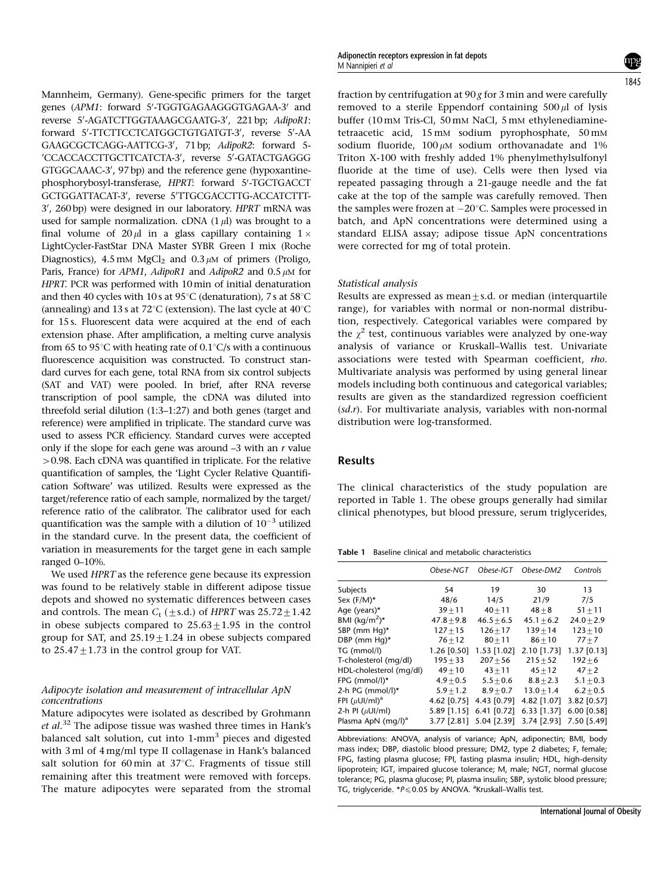Mannheim, Germany). Gene-specific primers for the target genes (APM1: forward 5'-TGGTGAGAAGGGTGAGAA-3' and reverse 5'-AGATCTTGGTAAAGCGAATG-3', 221 bp; AdipoR1: forward 5'-TTCTTCCTCATGGCTGTGATGT-3', reverse 5'-AA GAAGCGCTCAGG-AATTCG-3', 71 bp; AdipoR2: forward 5-'CCACCACCTTGCTTCATCTA-3', reverse 5'-GATACTGAGGG GTGGCAAAC-3', 97 bp) and the reference gene (hypoxantinephosphorybosyl-transferase, HPRT: forward 5'-TGCTGACCT GCTGGATTACAT-3', reverse 5'TTGCGACCTTG-ACCATCTTT-3', 260 bp) were designed in our laboratory. HPRT mRNA was used for sample normalization. cDNA  $(1 \mu l)$  was brought to a final volume of  $20 \mu l$  in a glass capillary containing  $1 \times$ LightCycler-FastStar DNA Master SYBR Green I mix (Roche Diagnostics), 4.5 mM MgCl<sub>2</sub> and  $0.3 \mu$ M of primers (Proligo, Paris, France) for APM1, AdipoR1 and AdipoR2 and  $0.5 \mu M$  for HPRT. PCR was performed with 10min of initial denaturation and then 40 cycles with 10s at 95 $\degree$ C (denaturation), 7s at 58 $\degree$ C (annealing) and 13 s at 72 $^{\circ}$ C (extension). The last cycle at 40 $^{\circ}$ C for 15 s. Fluorescent data were acquired at the end of each extension phase. After amplification, a melting curve analysis from 65 to 95 $\degree$ C with heating rate of 0.1 $\degree$ C/s with a continuous fluorescence acquisition was constructed. To construct standard curves for each gene, total RNA from six control subjects (SAT and VAT) were pooled. In brief, after RNA reverse transcription of pool sample, the cDNA was diluted into threefold serial dilution (1:3–1:27) and both genes (target and reference) were amplified in triplicate. The standard curve was used to assess PCR efficiency. Standard curves were accepted only if the slope for each gene was around  $-3$  with an  $r$  value 40.98. Each cDNA was quantified in triplicate. For the relative quantification of samples, the 'Light Cycler Relative Quantification Software' was utilized. Results were expressed as the target/reference ratio of each sample, normalized by the target/ reference ratio of the calibrator. The calibrator used for each quantification was the sample with a dilution of  $10^{-3}$  utilized in the standard curve. In the present data, the coefficient of variation in measurements for the target gene in each sample ranged 0–10%.

We used HPRT as the reference gene because its expression was found to be relatively stable in different adipose tissue depots and showed no systematic differences between cases and controls. The mean  $C_t$  ( $\pm$ s.d.) of HPRT was 25.72 $\pm$ 1.42 in obese subjects compared to  $25.63 \pm 1.95$  in the control group for SAT, and  $25.19+1.24$  in obese subjects compared to  $25.47+1.73$  in the control group for VAT.

# Adipocyte isolation and measurement of intracellular ApN concentrations

Mature adipocytes were isolated as described by Grohmann et  $al.^{32}$  The adipose tissue was washed three times in Hank's balanced salt solution, cut into 1-mm<sup>3</sup> pieces and digested with 3 ml of 4 mg/ml type II collagenase in Hank's balanced salt solution for 60 min at  $37^{\circ}$ C. Fragments of tissue still remaining after this treatment were removed with forceps. The mature adipocytes were separated from the stromal fraction by centrifugation at  $90 g$  for 3 min and were carefully removed to a sterile Eppendorf containing  $500 \mu l$  of lysis buffer (10 mM Tris-Cl, 50 mM NaCl, 5 mM ethylenediaminetetraacetic acid, 15 mM sodium pyrophosphate, 50 mM sodium fluoride,  $100 \mu M$  sodium orthovanadate and 1% Triton X-100 with freshly added 1% phenylmethylsulfonyl fluoride at the time of use). Cells were then lysed via repeated passaging through a 21-gauge needle and the fat cake at the top of the sample was carefully removed. Then the samples were frozen at  $-20^{\circ}$ C. Samples were processed in batch, and ApN concentrations were determined using a standard ELISA assay; adipose tissue ApN concentrations were corrected for mg of total protein.

#### Statistical analysis

Results are expressed as mean $\pm$ s.d. or median (interquartile range), for variables with normal or non-normal distribution, respectively. Categorical variables were compared by the  $\chi^2$  test, continuous variables were analyzed by one-way analysis of variance or Kruskall–Wallis test. Univariate associations were tested with Spearman coefficient, rho. Multivariate analysis was performed by using general linear models including both continuous and categorical variables; results are given as the standardized regression coefficient (sd.r). For multivariate analysis, variables with non-normal distribution were log-transformed.

# Results

The clinical characteristics of the study population are reported in Table 1. The obese groups generally had similar clinical phenotypes, but blood pressure, serum triglycerides,

Table 1 Baseline clinical and metabolic characteristics

|                                | Obese-NGT    | Obese-IGT     | Obese-DM2     | Controls      |
|--------------------------------|--------------|---------------|---------------|---------------|
| Subjects                       | 54           | 19            | 30            | 13            |
| Sex $(F/M)^*$                  | 48/6         | 14/5          | 21/9          | 7/5           |
| Age (years)*                   | $39 + 11$    | $40 + 11$     | $48 + 8$      | $51 + 11$     |
| BMI $(kq/m^2)^*$               | $47.8 + 9.8$ | $46.5 + 6.5$  | $45.1 + 6.2$  | $24.0 + 2.9$  |
| SBP (mm Hq)*                   | $127 + 15$   | $126 + 17$    | $139 + 14$    | $123 + 10$    |
| DBP (mm Hq)*                   | $76 + 12$    | $80 + 11$     | $86 + 10$     | $77 + 7$      |
| TG (mmol/l)                    | 1.26 [0.50]  | 1.53 [1.02]   | 2.10 [1.73]   | $1.37$ [0.13] |
| T-cholesterol (mg/dl)          | $195 + 33$   | $207 + 56$    | $215 + 52$    | $192 + 6$     |
| HDL-cholesterol (mg/dl)        | $49 + 10$    | $43 + 11$     | $45 + 12$     | $47 + 2$      |
| FPG (mmol/l)*                  | $4.9 + 0.5$  | $5.5 + 0.6$   | $8.8 + 2.3$   | $5.1 + 0.3$   |
| 2-h PG (mmol/l) $*$            | $5.9 + 1.2$  | $8.9 + 0.7$   | $13.0 + 1.4$  | $6.2 + 0.5$   |
| FPI $(\mu$ UI/ml) <sup>a</sup> | 4.62 [0.75]  | 4.43 [0.79]   | 4.82 [1.07]   | 3.82 [0.57]   |
| 2-h PI $(\mu U I/mI)$          | 5.89 [1.15]  | $6.41$ [0.72] | $6.33$ [1.37] | 6.00 [0.58]   |
| Plasma ApN (mg/l) <sup>a</sup> | 3.77 [2.81]  | 5.04 [2.39]   | 3.74 [2.93]   | 7.50 [5.49]   |

Abbreviations: ANOVA, analysis of variance; ApN, adiponectin; BMI, body mass index; DBP, diastolic blood pressure; DM2, type 2 diabetes; F, female; FPG, fasting plasma glucose; FPI, fasting plasma insulin; HDL, high-density lipoprotein; IGT, impaired glucose tolerance; M, male; NGT, normal glucose tolerance; PG, plasma glucose; PI, plasma insulin; SBP, systolic blood pressure; TG, triglyceride. \*P≤0.05 by ANOVA. <sup>a</sup>Kruskall–Wallis test.

# 1845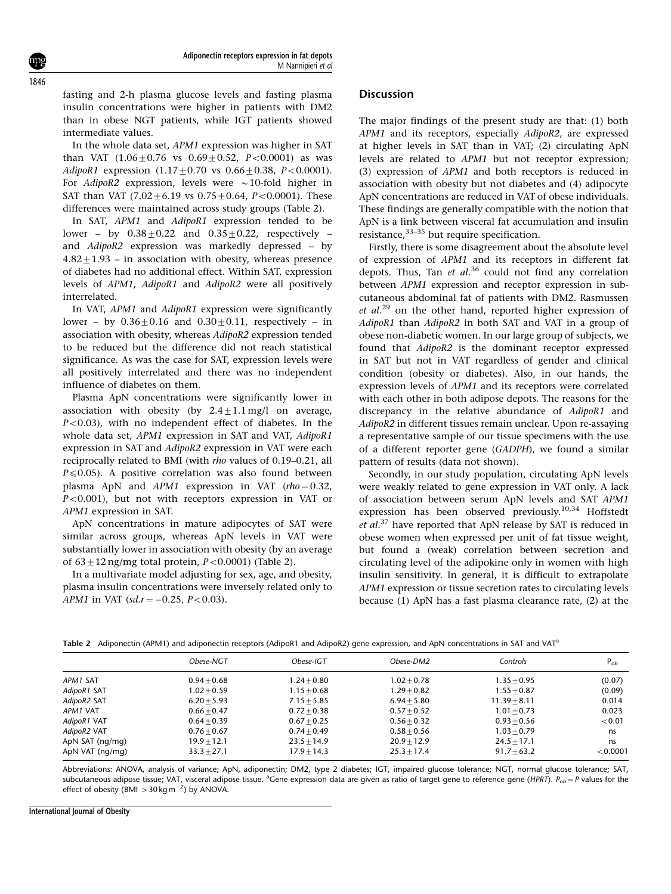fasting and 2-h plasma glucose levels and fasting plasma insulin concentrations were higher in patients with DM2 than in obese NGT patients, while IGT patients showed intermediate values.

In the whole data set, APM1 expression was higher in SAT than VAT  $(1.06+0.76 \text{ vs } 0.69+0.52, P<0.0001)$  as was AdipoR1 expression  $(1.17 \pm 0.70 \text{ vs } 0.66 \pm 0.38, P < 0.0001)$ . For AdipoR2 expression, levels were  $\sim$  10-fold higher in SAT than VAT  $(7.02 \pm 6.19 \text{ vs } 0.75 \pm 0.64, P < 0.0001)$ . These differences were maintained across study groups (Table 2).

In SAT, APM1 and AdipoR1 expression tended to be lower – by  $0.38\pm0.22$  and  $0.35\pm0.22$ , respectively – and AdipoR2 expression was markedly depressed – by  $4.82 \pm 1.93$  – in association with obesity, whereas presence of diabetes had no additional effect. Within SAT, expression levels of APM1, AdipoR1 and AdipoR2 were all positively interrelated.

In VAT, APM1 and AdipoR1 expression were significantly lower – by  $0.36+0.16$  and  $0.30+0.11$ , respectively – in association with obesity, whereas AdipoR2 expression tended to be reduced but the difference did not reach statistical significance. As was the case for SAT, expression levels were all positively interrelated and there was no independent influence of diabetes on them.

Plasma ApN concentrations were significantly lower in association with obesity (by  $2.4 \pm 1.1$  mg/l on average,  $P<0.03$ ), with no independent effect of diabetes. In the whole data set, APM1 expression in SAT and VAT, AdipoR1 expression in SAT and AdipoR2 expression in VAT were each reciprocally related to BMI (with rho values of 0.19–0.21, all  $P \le 0.05$ ). A positive correlation was also found between plasma ApN and  $APM1$  expression in VAT (rho = 0.32,  $P<0.001$ ), but not with receptors expression in VAT or APM1 expression in SAT.

ApN concentrations in mature adipocytes of SAT were similar across groups, whereas ApN levels in VAT were substantially lower in association with obesity (by an average of  $63 \pm 12$  ng/mg total protein,  $P < 0.0001$ ) (Table 2).

In a multivariate model adjusting for sex, age, and obesity, plasma insulin concentrations were inversely related only to APM1 in VAT  $(sd.r = -0.25, P < 0.03)$ .

#### **Discussion**

The major findings of the present study are that: (1) both APM1 and its receptors, especially AdipoR2, are expressed at higher levels in SAT than in VAT; (2) circulating ApN levels are related to APM1 but not receptor expression; (3) expression of APM1 and both receptors is reduced in association with obesity but not diabetes and (4) adipocyte ApN concentrations are reduced in VAT of obese individuals. These findings are generally compatible with the notion that ApN is a link between visceral fat accumulation and insulin resistance,<sup>33-35</sup> but require specification.

Firstly, there is some disagreement about the absolute level of expression of APM1 and its receptors in different fat depots. Thus, Tan et al.<sup>36</sup> could not find any correlation between APM1 expression and receptor expression in subcutaneous abdominal fat of patients with DM2. Rasmussen et al.<sup>29</sup> on the other hand, reported higher expression of AdipoR1 than AdipoR2 in both SAT and VAT in a group of obese non-diabetic women. In our large group of subjects, we found that AdipoR2 is the dominant receptor expressed in SAT but not in VAT regardless of gender and clinical condition (obesity or diabetes). Also, in our hands, the expression levels of APM1 and its receptors were correlated with each other in both adipose depots. The reasons for the discrepancy in the relative abundance of AdipoR1 and AdipoR2 in different tissues remain unclear. Upon re-assaying a representative sample of our tissue specimens with the use of a different reporter gene (GADPH), we found a similar pattern of results (data not shown).

Secondly, in our study population, circulating ApN levels were weakly related to gene expression in VAT only. A lack of association between serum ApN levels and SAT APM1 expression has been observed previously.<sup>10,34</sup> Hoffstedt et al.<sup>37</sup> have reported that ApN release by SAT is reduced in obese women when expressed per unit of fat tissue weight, but found a (weak) correlation between secretion and circulating level of the adipokine only in women with high insulin sensitivity. In general, it is difficult to extrapolate APM1 expression or tissue secretion rates to circulating levels because (1) ApN has a fast plasma clearance rate, (2) at the

|  |  |  | Table 2 Adiponectin (APM1) and adiponectin receptors (AdipoR1 and AdipoR2) gene expression, and ApN concentrations in SAT and VAT <sup>a</sup> |
|--|--|--|------------------------------------------------------------------------------------------------------------------------------------------------|
|  |  |  |                                                                                                                                                |

|                 | Obese-NGT     | Obese-IGT     | Obese-DM2     | Controls       | $P_{ob}$ |
|-----------------|---------------|---------------|---------------|----------------|----------|
| APM1 SAT        | $0.94 + 0.68$ | $1.24 + 0.80$ | $1.02 + 0.78$ | $1.35 + 0.95$  | (0.07)   |
| AdipoR1 SAT     | $1.02 + 0.59$ | $1.15 + 0.68$ | $1.29 + 0.82$ | $1.55 + 0.87$  | (0.09)   |
| AdipoR2 SAT     | $6.20 + 5.93$ | $7.15 + 5.85$ | $6.94 + 5.80$ | $11.39 + 8.11$ | 0.014    |
| APM1 VAT        | $0.66 + 0.47$ | $0.72 + 0.38$ | $0.57 + 0.52$ | $1.01 + 0.73$  | 0.023    |
| AdipoR1 VAT     | $0.64 + 0.39$ | $0.67 + 0.25$ | $0.56 + 0.32$ | $0.93 + 0.56$  | < 0.01   |
| AdipoR2 VAT     | $0.76 + 0.67$ | $0.74 + 0.49$ | $0.58 + 0.56$ | $1.03 + 0.79$  | ns       |
| ApN SAT (ng/mg) | $19.9 + 12.1$ | $23.5 + 14.9$ | $20.9 + 12.9$ | $24.5 + 17.1$  | ns       |
| ApN VAT (ng/mg) | $33.3 + 27.1$ | $17.9 + 14.3$ | $25.3 + 17.4$ | $91.7 + 63.2$  | < 0.0001 |

Abbreviations: ANOVA, analysis of variance; ApN, adiponectin; DM2, type 2 diabetes; IGT, impaired glucose tolerance; NGT, normal glucose tolerance; SAT, subcutaneous adipose tissue; VAT, visceral adipose tissue. <sup>a</sup>Gene expression data are given as ratio of target gene to reference gene (HPRT).  $P_{ob} = P$  values for the effect of obesity (BMI  $>$  30 kg m<sup>-2</sup>) by ANOVA.

International Journal of Obesity

1846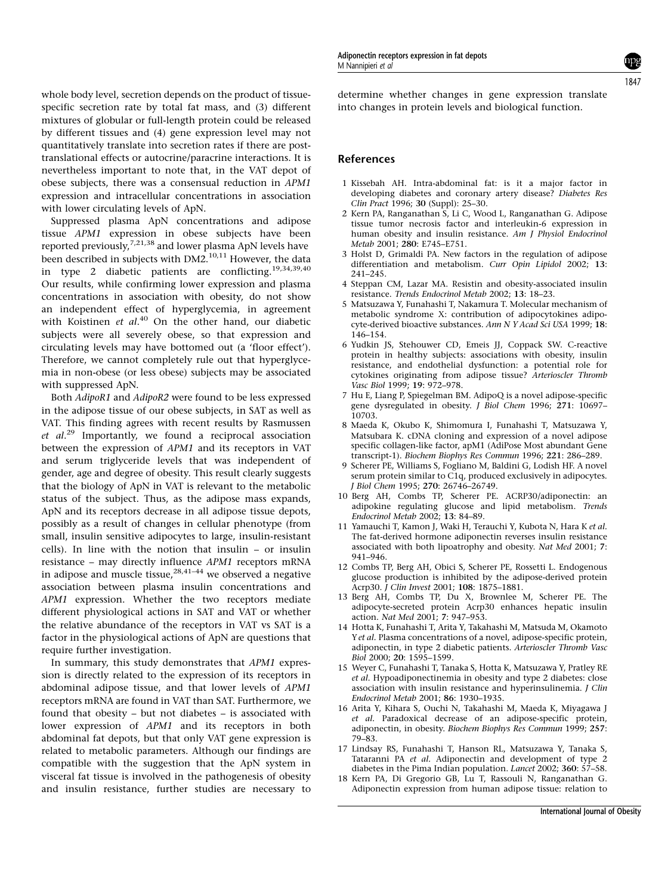whole body level, secretion depends on the product of tissuespecific secretion rate by total fat mass, and (3) different mixtures of globular or full-length protein could be released by different tissues and (4) gene expression level may not quantitatively translate into secretion rates if there are posttranslational effects or autocrine/paracrine interactions. It is nevertheless important to note that, in the VAT depot of obese subjects, there was a consensual reduction in APM1 expression and intracellular concentrations in association with lower circulating levels of ApN.

Suppressed plasma ApN concentrations and adipose tissue APM1 expression in obese subjects have been reported previously,<sup>7,21,38</sup> and lower plasma ApN levels have been described in subjects with DM2.<sup>10,11</sup> However, the data in type 2 diabetic patients are conflicting.<sup>19,34,39,40</sup> Our results, while confirming lower expression and plasma concentrations in association with obesity, do not show an independent effect of hyperglycemia, in agreement with Koistinen et al.<sup>40</sup> On the other hand, our diabetic subjects were all severely obese, so that expression and circulating levels may have bottomed out (a 'floor effect'). Therefore, we cannot completely rule out that hyperglycemia in non-obese (or less obese) subjects may be associated with suppressed ApN.

Both AdipoR1 and AdipoR2 were found to be less expressed in the adipose tissue of our obese subjects, in SAT as well as VAT. This finding agrees with recent results by Rasmussen et al.<sup>29</sup> Importantly, we found a reciprocal association between the expression of APM1 and its receptors in VAT and serum triglyceride levels that was independent of gender, age and degree of obesity. This result clearly suggests that the biology of ApN in VAT is relevant to the metabolic status of the subject. Thus, as the adipose mass expands, ApN and its receptors decrease in all adipose tissue depots, possibly as a result of changes in cellular phenotype (from small, insulin sensitive adipocytes to large, insulin-resistant cells). In line with the notion that insulin – or insulin resistance – may directly influence APM1 receptors mRNA in adipose and muscle tissue,  $28,41-44$  we observed a negative association between plasma insulin concentrations and APM1 expression. Whether the two receptors mediate different physiological actions in SAT and VAT or whether the relative abundance of the receptors in VAT vs SAT is a factor in the physiological actions of ApN are questions that require further investigation.

In summary, this study demonstrates that APM1 expression is directly related to the expression of its receptors in abdominal adipose tissue, and that lower levels of APM1 receptors mRNA are found in VAT than SAT. Furthermore, we found that obesity – but not diabetes – is associated with lower expression of APM1 and its receptors in both abdominal fat depots, but that only VAT gene expression is related to metabolic parameters. Although our findings are compatible with the suggestion that the ApN system in visceral fat tissue is involved in the pathogenesis of obesity and insulin resistance, further studies are necessary to determine whether changes in gene expression translate into changes in protein levels and biological function.

### References

- 1 Kissebah AH. Intra-abdominal fat: is it a major factor in developing diabetes and coronary artery disease? Diabetes Res Clin Pract 1996; 30 (Suppl): 25–30.
- 2 Kern PA, Ranganathan S, Li C, Wood L, Ranganathan G. Adipose tissue tumor necrosis factor and interleukin-6 expression in human obesity and insulin resistance. Am J Physiol Endocrinol Metab 2001; 280: E745–E751.
- 3 Holst D, Grimaldi PA. New factors in the regulation of adipose differentiation and metabolism. Curr Opin Lipidol 2002; 13: 241–245.
- 4 Steppan CM, Lazar MA. Resistin and obesity-associated insulin resistance. Trends Endocrinol Metab 2002; 13: 18–23.
- 5 Matsuzawa Y, Funahashi T, Nakamura T. Molecular mechanism of metabolic syndrome X: contribution of adipocytokines adipocyte-derived bioactive substances. Ann N Y Acad Sci USA 1999; 18: 146–154.
- 6 Yudkin JS, Stehouwer CD, Emeis JJ, Coppack SW. C-reactive protein in healthy subjects: associations with obesity, insulin resistance, and endothelial dysfunction: a potential role for cytokines originating from adipose tissue? Arterioscler Thromb Vasc Biol 1999; 19: 972–978.
- 7 Hu E, Liang P, Spiegelman BM. AdipoQ is a novel adipose-specific gene dysregulated in obesity. J Biol Chem 1996; 271: 10697– 10703.
- 8 Maeda K, Okubo K, Shimomura I, Funahashi T, Matsuzawa Y, Matsubara K. cDNA cloning and expression of a novel adipose specific collagen-like factor, apM1 (AdiPose Most abundant Gene transcript-1). Biochem Biophys Res Commun 1996; 221: 286–289.
- 9 Scherer PE, Williams S, Fogliano M, Baldini G, Lodish HF. A novel serum protein similar to C1q, produced exclusively in adipocytes. J Biol Chem 1995; 270: 26746–26749.
- 10 Berg AH, Combs TP, Scherer PE. ACRP30/adiponectin: an adipokine regulating glucose and lipid metabolism. Trends Endocrinol Metab 2002; 13: 84–89.
- 11 Yamauchi T, Kamon J, Waki H, Terauchi Y, Kubota N, Hara K et al. The fat-derived hormone adiponectin reverses insulin resistance associated with both lipoatrophy and obesity. Nat Med 2001; 7: 941–946.
- 12 Combs TP, Berg AH, Obici S, Scherer PE, Rossetti L. Endogenous glucose production is inhibited by the adipose-derived protein Acrp30. J Clin Invest 2001; 108: 1875–1881.
- 13 Berg AH, Combs TP, Du X, Brownlee M, Scherer PE. The adipocyte-secreted protein Acrp30 enhances hepatic insulin action. Nat Med 2001; 7: 947–953.
- 14 Hotta K, Funahashi T, Arita Y, Takahashi M, Matsuda M, Okamoto Yet al. Plasma concentrations of a novel, adipose-specific protein, adiponectin, in type 2 diabetic patients. Arterioscler Thromb Vasc Biol 2000; 20: 1595–1599.
- 15 Weyer C, Funahashi T, Tanaka S, Hotta K, Matsuzawa Y, Pratley RE et al. Hypoadiponectinemia in obesity and type 2 diabetes: close association with insulin resistance and hyperinsulinemia. J Clin Endocrinol Metab 2001; 86: 1930–1935.
- 16 Arita Y, Kihara S, Ouchi N, Takahashi M, Maeda K, Miyagawa J et al. Paradoxical decrease of an adipose-specific protein, adiponectin, in obesity. Biochem Biophys Res Commun 1999; 257: 79–83.
- 17 Lindsay RS, Funahashi T, Hanson RL, Matsuzawa Y, Tanaka S, Tataranni PA et al. Adiponectin and development of type 2 diabetes in the Pima Indian population. Lancet 2002; 360: 57–58.
- 18 Kern PA, Di Gregorio GB, Lu T, Rassouli N, Ranganathan G. Adiponectin expression from human adipose tissue: relation to